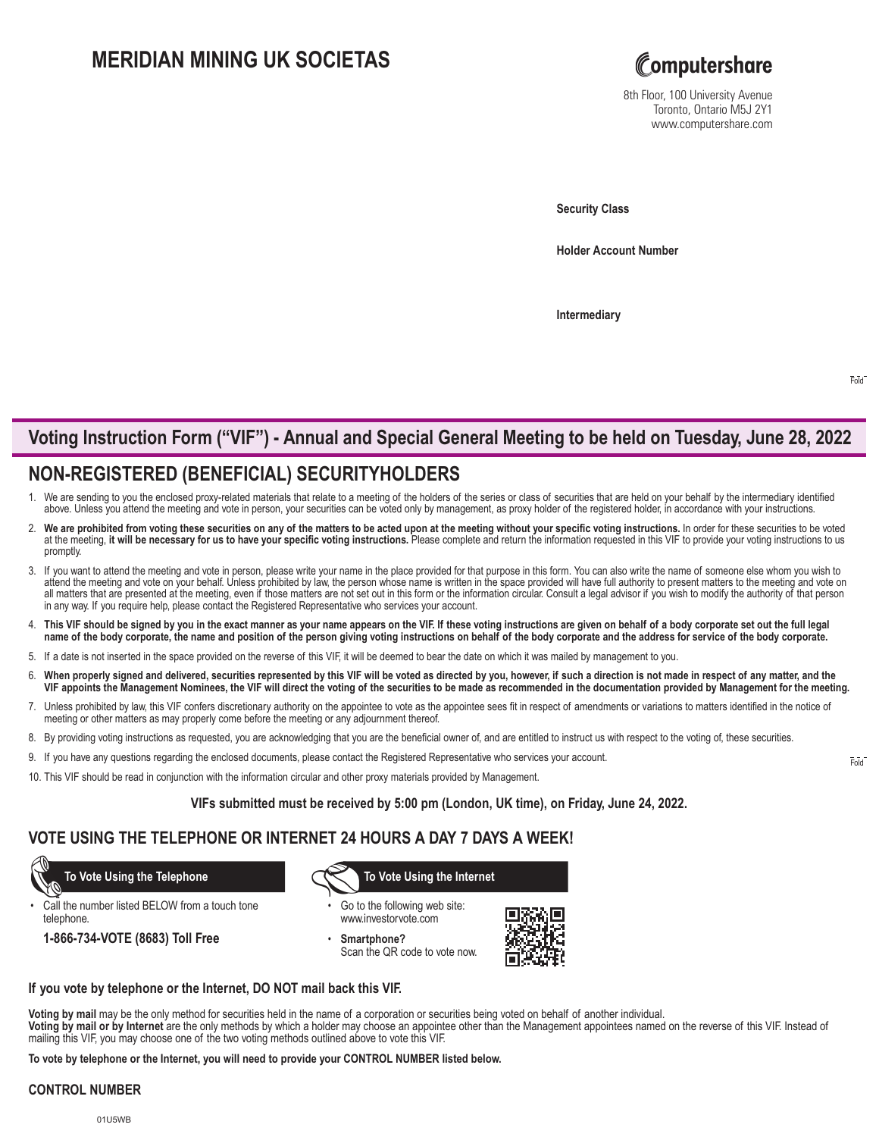## **MERIDIAN MINING UK SOCIETAS**



8th Floor, 100 University Avenue Toronto, Ontario M5J 2Y1 www.computershare.com

**Security Class**

**Holder Account Number** 

**Intermediary**

# **Voting Instruction Form ("VIF") - Annual and Special General Meeting to be held on Tuesday, June 28, 2022**

## **NON-REGISTERED (BENEFICIAL) SECURITYHOLDERS**

- 1. We are sending to you the enclosed proxy-related materials that relate to a meeting of the holders of the series or class of securities that are held on your behalf by the intermediary identified above. Unless you attend the meeting and vote in person, your securities can be voted only by management, as proxy holder of the registered holder, in accordance with your instructions.
- We are prohibited from voting these securities on any of the matters to be acted upon at the meeting without your specific voting instructions. In order for these securities to be voted at the meeting, it will be necessary for us to have your specific voting instructions. Please complete and return the information requested in this VIF to provide your voting instructions to us promptly.
- 3. If you want to attend the meeting and vote in person, please write your name in the place provided for that purpose in this form. You can also write the name of someone else whom you wish to attend the meeting and vote on your behalf. Unless prohibited by law, the person whose name is written in the space provided will have full authority to present matters to the meeting and vote on all matters that are presented at the meeting, even if those matters are not set out in this form or the information circular. Consult a legal advisor if you wish to modify the authority of that person in any way. If you require help, please contact the Registered Representative who services your account.
- 4. **This VIF should be signed by you in the exact manner as your name appears on the VIF. If these voting instructions are given on behalf of a body corporate set out the full legal name of the body corporate, the name and position of the person giving voting instructions on behalf of the body corporate and the address for service of the body corporate.**
- 5. If a date is not inserted in the space provided on the reverse of this VIF, it will be deemed to bear the date on which it was mailed by management to you.
- 6. **When properly signed and delivered, securities represented by this VIF will be voted as directed by you, however, if such a direction is not made in respect of any matter, and the VIF appoints the Management Nominees, the VIF will direct the voting of the securities to be made as recommended in the documentation provided by Management for the meeting.**
- 7. Unless prohibited by law, this VIF confers discretionary authority on the appointee to vote as the appointee sees fit in respect of amendments or variations to matters identified in the notice of meeting or other matters as may properly come before the meeting or any adjournment thereof.
- 8. By providing voting instructions as requested, you are acknowledging that you are the beneficial owner of, and are entitled to instruct us with respect to the voting of, these securities.
- 9. If you have any questions regarding the enclosed documents, please contact the Registered Representative who services your account.
- 10. This VIF should be read in conjunction with the information circular and other proxy materials provided by Management.

**VIFs submitted must be received by 5:00 pm (London, UK time), on Friday, June 24, 2022.**

## **VOTE USING THE TELEPHONE OR INTERNET 24 HOURS A DAY 7 DAYS A WEEK!**

Call the number listed BELOW from a touch tone telephone.

**1-866-734-VOTE (8683) Toll Free**

 **To Vote Using the Telephone To Vote Using the Internet**

- Go to the following web site: www.investorvote.com
- **Smartphone?** Scan the QR code to vote now.



#### **If you vote by telephone or the Internet, DO NOT mail back this VIF.**

**Voting by mail** may be the only method for securities held in the name of a corporation or securities being voted on behalf of another individual.

**Voting by mail or by Internet** are the only methods by which a holder may choose an appointee other than the Management appointees named on the reverse of this VIF. Instead of mailing this VIF, you may choose one of the two voting methods outlined above to vote this VIF.

**To vote by telephone or the Internet, you will need to provide your CONTROL NUMBER listed below.**

### **CONTROL NUMBER**

Fold